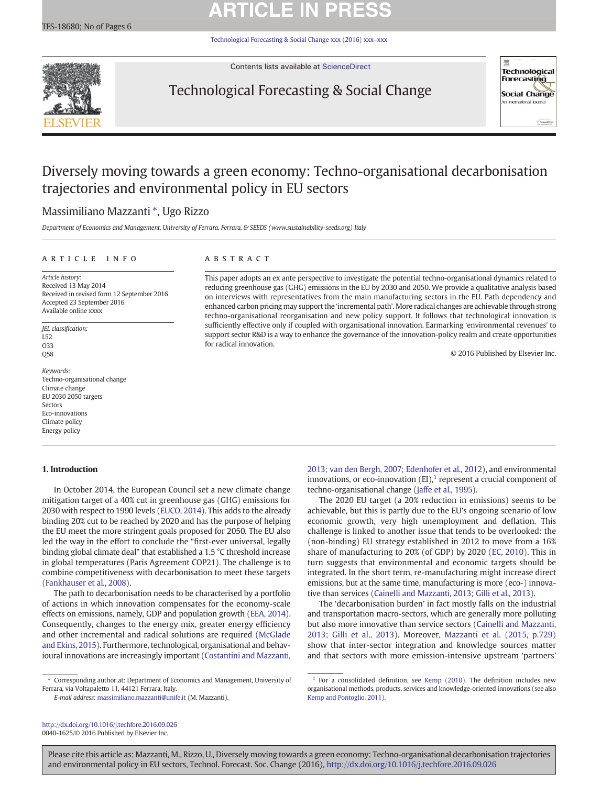# **ARTICLE IN PRE**

[Technological Forecasting & Social Change xxx \(2016\) xxx](http://dx.doi.org/10.1016/j.techfore.2016.09.026)–xxx



Contents lists available at [ScienceDirect](http://www.sciencedirect.com/science/journal/00401625)

## Technological Forecasting & Social Change



## Diversely moving towards a green economy: Techno-organisational decarbonisation trajectories and environmental policy in EU sectors

### Massimiliano Mazzanti ⁎, Ugo Rizzo

Department of Economics and Management, University of Ferrara, Ferrara, & SEEDS (www.sustainability-seeds.org) Italy

### article info abstract

Article history: Received 13 May 2014 Received in revised form 12 September 2016 Accepted 23 September 2016 Available online xxxx

JEL classification: L52 O33 Q58

Keywords: Techno-organisational change Climate change EU 2030 2050 targets Sectors Eco-innovations Climate policy Energy policy

### 1. Introduction

This paper adopts an ex ante perspective to investigate the potential techno-organisational dynamics related to reducing greenhouse gas (GHG) emissions in the EU by 2030 and 2050. We provide a qualitative analysis based on interviews with representatives from the main manufacturing sectors in the EU. Path dependency and enhanced carbon pricing may support the 'incremental path'. More radical changes are achievable through strong techno-organisational reorganisation and new policy support. It follows that technological innovation is sufficiently effective only if coupled with organisational innovation. Earmarking 'environmental revenues' to support sector R&D is a way to enhance the governance of the innovation-policy realm and create opportunities for radical innovation.

© 2016 Published by Elsevier Inc.

In October 2014, the European Council set a new climate change mitigation target of a 40% cut in greenhouse gas (GHG) emissions for 2030 with respect to 1990 levels ([EUCO, 2014](#page-4-0)). This adds to the already binding 20% cut to be reached by 2020 and has the purpose of helping the EU meet the more stringent goals proposed for 2050. The EU also led the way in the effort to conclude the "first-ever universal, legally binding global climate deal" that established a 1.5 °C threshold increase in global temperatures (Paris Agreement COP21). The challenge is to combine competitiveness with decarbonisation to meet these targets [\(Fankhauser et al., 2008](#page-4-0)).

The path to decarbonisation needs to be characterised by a portfolio of actions in which innovation compensates for the economy-scale effects on emissions, namely, GDP and population growth ([EEA, 2014](#page-4-0)). Consequently, changes to the energy mix, greater energy efficiency and other incremental and radical solutions are required [\(McGlade](#page-5-0) [and Ekins, 2015](#page-5-0)). Furthermore, technological, organisational and behavioural innovations are increasingly important ([Costantini and Mazzanti,](#page-4-0)

⁎ Corresponding author at: Department of Economics and Management, University of Ferrara, via Voltapaletto 11, 44121 Ferrara, Italy.

E-mail address: [massimiliano.mazzanti@unife.it](mailto:massimiliano.mazzanti@unife.it) (M. Mazzanti).

<http://dx.doi.org/10.1016/j.techfore.2016.09.026> 0040-1625/© 2016 Published by Elsevier Inc.

[2013; van den Bergh, 2007; Edenhofer et al., 2012\)](#page-4-0), and environmental innovations, or eco-innovation  $(EI)$ ,<sup>1</sup> represent a crucial component of techno-organisational change [\(Jaffe et al., 1995](#page-4-0)).

The 2020 EU target (a 20% reduction in emissions) seems to be achievable, but this is partly due to the EU's ongoing scenario of low economic growth, very high unemployment and deflation. This challenge is linked to another issue that tends to be overlooked: the (non-binding) EU strategy established in 2012 to move from a 16% share of manufacturing to 20% (of GDP) by 2020 ([EC, 2010\)](#page-4-0). This in turn suggests that environmental and economic targets should be integrated. In the short term, re-manufacturing might increase direct emissions, but at the same time, manufacturing is more (eco-) innovative than services ([Cainelli and Mazzanti, 2013; Gilli et al., 2013\)](#page-4-0).

The 'decarbonisation burden' in fact mostly falls on the industrial and transportation macro-sectors, which are generally more polluting but also more innovative than service sectors [\(Cainelli and Mazzanti,](#page-4-0) [2013; Gilli et al., 2013](#page-4-0)). Moreover, [Mazzanti et al. \(2015, p.729\)](#page-5-0) show that inter-sector integration and knowledge sources matter and that sectors with more emission-intensive upstream 'partners'

 $1$  For a consolidated definition, see [Kemp \(2010\).](#page-5-0) The definition includes new organisational methods, products, services and knowledge-oriented innovations (see also [Kemp and Pontoglio, 2011](#page-5-0)).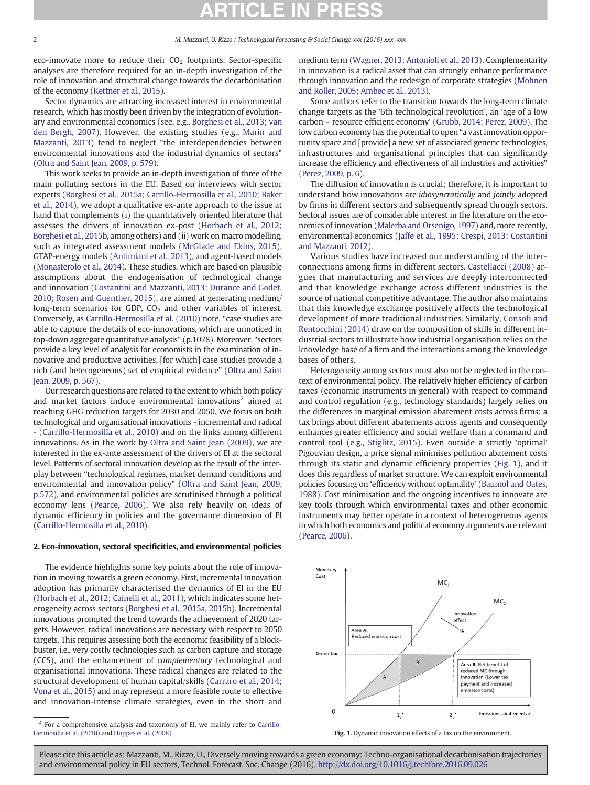eco-innovate more to reduce their  $CO<sub>2</sub>$  footprints. Sector-specific analyses are therefore required for an in-depth investigation of the role of innovation and structural change towards the decarbonisation of the economy ([Kettner et al., 2015\)](#page-5-0).

Sector dynamics are attracting increased interest in environmental research, which has mostly been driven by the integration of evolutionary and environmental economics (see, e.g., [Borghesi et al., 2013; van](#page-4-0) [den Bergh, 2007\)](#page-4-0). However, the existing studies (e.g., [Marin and](#page-5-0) [Mazzanti, 2013\)](#page-5-0) tend to neglect "the interdependencies between environmental innovations and the industrial dynamics of sectors" [\(Oltra and Saint Jean, 2009, p. 579\)](#page-5-0).

This work seeks to provide an in-depth investigation of three of the main polluting sectors in the EU. Based on interviews with sector experts [\(Borghesi et al., 2015a; Carrillo-Hermosilla et al., 2010; Baker](#page-4-0) [et al., 2014](#page-4-0)), we adopt a qualitative ex-ante approach to the issue at hand that complements (i) the quantitatively oriented literature that assesses the drivers of innovation ex-post [\(Horbach et al., 2012;](#page-4-0) [Borghesi et al., 2015b,](#page-4-0) among others) and (ii) work on macro modelling, such as integrated assessment models ([McGlade and Ekins, 2015](#page-5-0)), GTAP-energy models [\(Antimiani et al., 2013](#page-4-0)), and agent-based models [\(Monasterolo et al., 2014\)](#page-5-0). These studies, which are based on plausible assumptions about the endogenisation of technological change and innovation [\(Costantini and Mazzanti, 2013; Durance and Godet,](#page-4-0) [2010; Rosen and Guenther, 2015](#page-4-0)), are aimed at generating medium/ long-term scenarios for GDP,  $CO<sub>2</sub>$  and other variables of interest. Conversely, as [Carrillo-Hermosilla et al. \(2010\)](#page-4-0) note, "case studies are able to capture the details of eco-innovations, which are unnoticed in top-down aggregate quantitative analysis" (p.1078). Moreover, "sectors provide a key level of analysis for economists in the examination of innovative and productive activities, [for which] case studies provide a rich (and heterogeneous) set of empirical evidence" ([Oltra and Saint](#page-5-0) [Jean, 2009, p. 567](#page-5-0)).

Our research questions are related to the extent to which both policy and market factors induce environmental innovations<sup>2</sup> aimed at reaching GHG reduction targets for 2030 and 2050. We focus on both technological and organisational innovations - incremental and radical - [\(Carrillo-Hermosilla et al., 2010\)](#page-4-0) and on the links among different innovations. As in the work by [Oltra and Saint Jean \(2009\),](#page-5-0) we are interested in the ex-ante assessment of the drivers of EI at the sectoral level. Patterns of sectoral innovation develop as the result of the interplay between "technological regimes, market demand conditions and environmental and innovation policy" ([Oltra and Saint Jean, 2009,](#page-5-0) [p.572\)](#page-5-0), and environmental policies are scrutinised through a political economy lens ([Pearce, 2006](#page-5-0)). We also rely heavily on ideas of dynamic efficiency in policies and the governance dimension of EI [\(Carrillo-Hermosilla et al., 2010](#page-4-0)).

#### 2. Eco-innovation, sectoral specificities, and environmental policies

The evidence highlights some key points about the role of innovation in moving towards a green economy. First, incremental innovation adoption has primarily characterised the dynamics of EI in the EU [\(Horbach et al., 2012; Cainelli et al., 2011](#page-4-0)), which indicates some heterogeneity across sectors [\(Borghesi et al., 2015a, 2015b\)](#page-4-0). Incremental innovations prompted the trend towards the achievement of 2020 targets. However, radical innovations are necessary with respect to 2050 targets. This requires assessing both the economic feasibility of a blockbuster, i.e., very costly technologies such as carbon capture and storage (CCS), and the enhancement of complementary technological and organisational innovations. These radical changes are related to the structural development of human capital/skills [\(Carraro et al., 2014;](#page-4-0) [Vona et al., 2015\)](#page-4-0) and may represent a more feasible route to effective and innovation-intense climate strategies, even in the short and medium term [\(Wagner, 2013; Antonioli et al., 2013](#page-5-0)). Complementarity in innovation is a radical asset that can strongly enhance performance through innovation and the redesign of corporate strategies ([Mohnen](#page-5-0) [and Roller, 2005; Ambec et al., 2013\)](#page-5-0).

Some authors refer to the transition towards the long-term climate change targets as the '6th technological revolution', an 'age of a low carbon – resource efficient economy' ([Grubb, 2014; Perez, 2009](#page-4-0)). The low carbon economy has the potential to open "a vast innovation opportunity space and [provide] a new set of associated generic technologies, infrastructures and organisational principles that can significantly increase the efficiency and effectiveness of all industries and activities" [\(Perez, 2009, p. 6](#page-5-0)).

The diffusion of innovation is crucial; therefore, it is important to understand how innovations are idiosyncratically and jointly adopted by firms in different sectors and subsequently spread through sectors. Sectoral issues are of considerable interest in the literature on the economics of innovation [\(Malerba and Orsenigo, 1997\)](#page-5-0) and, more recently, environmental economics [\(Jaffe et al., 1995; Crespi, 2013; Costantini](#page-4-0) [and Mazzanti, 2012](#page-4-0)).

Various studies have increased our understanding of the interconnections among firms in different sectors. [Castellacci \(2008\)](#page-4-0) argues that manufacturing and services are deeply interconnected and that knowledge exchange across different industries is the source of national competitive advantage. The author also maintains that this knowledge exchange positively affects the technological development of more traditional industries. Similarly, [Consoli and](#page-4-0) [Rentocchini \(2014\)](#page-4-0) draw on the composition of skills in different industrial sectors to illustrate how industrial organisation relies on the knowledge base of a firm and the interactions among the knowledge bases of others.

Heterogeneity among sectors must also not be neglected in the context of environmental policy. The relatively higher efficiency of carbon taxes (economic instruments in general) with respect to command and control regulation (e.g., technology standards) largely relies on the differences in marginal emission abatement costs across firms: a tax brings about different abatements across agents and consequently enhances greater efficiency and social welfare than a command and control tool (e.g., [Stiglitz, 2015](#page-5-0)). Even outside a strictly 'optimal' Pigouvian design, a price signal minimises pollution abatement costs through its static and dynamic efficiency properties (Fig. 1), and it does this regardless of market structure. We can exploit environmental policies focusing on 'efficiency without optimality' [\(Baumol and Oates,](#page-4-0) [1988\)](#page-4-0). Cost minimisation and the ongoing incentives to innovate are key tools through which environmental taxes and other economic instruments may better operate in a context of heterogeneous agents in which both economics and political economy arguments are relevant [\(Pearce, 2006](#page-5-0)).



Fig. 1. Dynamic innovation effects of a tax on the environment.

<sup>&</sup>lt;sup>2</sup> For a comprehensive analysis and taxonomy of EI, we mainly refer to Carrillo-Hermosilla et al. (2010) and Huppes et al. (2008).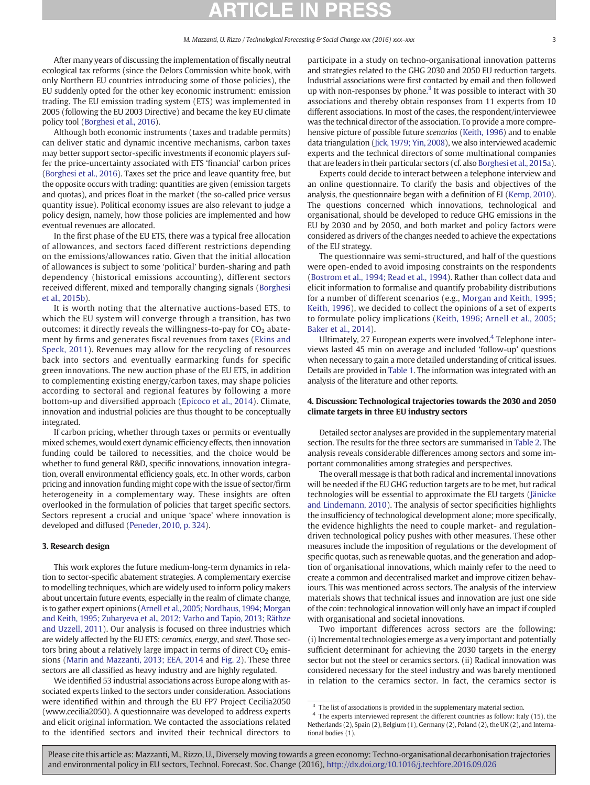After many years of discussing the implementation of fiscally neutral ecological tax reforms (since the Delors Commission white book, with only Northern EU countries introducing some of those policies), the EU suddenly opted for the other key economic instrument: emission trading. The EU emission trading system (ETS) was implemented in 2005 (following the EU 2003 Directive) and became the key EU climate policy tool [\(Borghesi et al., 2016\)](#page-4-0).

Although both economic instruments (taxes and tradable permits) can deliver static and dynamic incentive mechanisms, carbon taxes may better support sector-specific investments if economic players suffer the price-uncertainty associated with ETS 'financial' carbon prices [\(Borghesi et al., 2016](#page-4-0)). Taxes set the price and leave quantity free, but the opposite occurs with trading: quantities are given (emission targets and quotas), and prices float in the market (the so-called price versus quantity issue). Political economy issues are also relevant to judge a policy design, namely, how those policies are implemented and how eventual revenues are allocated.

In the first phase of the EU ETS, there was a typical free allocation of allowances, and sectors faced different restrictions depending on the emissions/allowances ratio. Given that the initial allocation of allowances is subject to some 'political' burden-sharing and path dependency (historical emissions accounting), different sectors received different, mixed and temporally changing signals ([Borghesi](#page-4-0) [et al., 2015b\)](#page-4-0).

It is worth noting that the alternative auctions-based ETS, to which the EU system will converge through a transition, has two outcomes: it directly reveals the willingness-to-pay for  $CO<sub>2</sub>$  abatement by firms and generates fiscal revenues from taxes [\(Ekins and](#page-4-0) [Speck, 2011\)](#page-4-0). Revenues may allow for the recycling of resources back into sectors and eventually earmarking funds for specific green innovations. The new auction phase of the EU ETS, in addition to complementing existing energy/carbon taxes, may shape policies according to sectoral and regional features by following a more bottom-up and diversified approach ([Epicoco et al., 2014](#page-4-0)). Climate, innovation and industrial policies are thus thought to be conceptually integrated.

If carbon pricing, whether through taxes or permits or eventually mixed schemes, would exert dynamic efficiency effects, then innovation funding could be tailored to necessities, and the choice would be whether to fund general R&D, specific innovations, innovation integration, overall environmental efficiency goals, etc. In other words, carbon pricing and innovation funding might cope with the issue of sector/firm heterogeneity in a complementary way. These insights are often overlooked in the formulation of policies that target specific sectors. Sectors represent a crucial and unique 'space' where innovation is developed and diffused [\(Peneder, 2010, p. 324](#page-5-0)).

#### 3. Research design

This work explores the future medium-long-term dynamics in relation to sector-specific abatement strategies. A complementary exercise to modelling techniques, which are widely used to inform policy makers about uncertain future events, especially in the realm of climate change, is to gather expert opinions [\(Arnell et al., 2005; Nordhaus, 1994; Morgan](#page-4-0) [and Keith, 1995; Zubaryeva et al., 2012; Varho and Tapio, 2013; Räthze](#page-4-0) [and Uzzell, 2011\)](#page-4-0). Our analysis is focused on three industries which are widely affected by the EU ETS: ceramics, energy, and steel. Those sectors bring about a relatively large impact in terms of direct  $CO<sub>2</sub>$  emissions [\(Marin and Mazzanti, 2013; EEA, 2014](#page-5-0) and [Fig. 2](#page-3-0)). These three sectors are all classified as heavy industry and are highly regulated.

We identified 53 industrial associations across Europe along with associated experts linked to the sectors under consideration. Associations were identified within and through the EU FP7 Project Cecilia2050 (www.cecilia2050). A questionnaire was developed to address experts and elicit original information. We contacted the associations related to the identified sectors and invited their technical directors to participate in a study on techno-organisational innovation patterns and strategies related to the GHG 2030 and 2050 EU reduction targets. Industrial associations were first contacted by email and then followed up with non-responses by phone.<sup>3</sup> It was possible to interact with 30 associations and thereby obtain responses from 11 experts from 10 different associations. In most of the cases, the respondent/interviewee was the technical director of the association. To provide a more comprehensive picture of possible future scenarios [\(Keith, 1996\)](#page-5-0) and to enable data triangulation [\(Jick, 1979; Yin, 2008](#page-5-0)), we also interviewed academic experts and the technical directors of some multinational companies that are leaders in their particular sectors (cf. also [Borghesi et al., 2015a](#page-4-0)).

Experts could decide to interact between a telephone interview and an online questionnaire. To clarify the basis and objectives of the analysis, the questionnaire began with a definition of EI ([Kemp, 2010](#page-5-0)). The questions concerned which innovations, technological and organisational, should be developed to reduce GHG emissions in the EU by 2030 and by 2050, and both market and policy factors were considered as drivers of the changes needed to achieve the expectations of the EU strategy.

The questionnaire was semi-structured, and half of the questions were open-ended to avoid imposing constraints on the respondents [\(Bostrom et al., 1994; Read et al., 1994](#page-4-0)). Rather than collect data and elicit information to formalise and quantify probability distributions for a number of different scenarios (e.g., [Morgan and Keith, 1995;](#page-5-0) [Keith, 1996\)](#page-5-0), we decided to collect the opinions of a set of experts to formulate policy implications ([Keith, 1996; Arnell et al., 2005;](#page-5-0) [Baker et al., 2014](#page-5-0)).

Ultimately, 27 European experts were involved.<sup>4</sup> Telephone interviews lasted 45 min on average and included 'follow-up' questions when necessary to gain a more detailed understanding of critical issues. Details are provided in [Table 1](#page-3-0). The information was integrated with an analysis of the literature and other reports.

### 4. Discussion: Technological trajectories towards the 2030 and 2050 climate targets in three EU industry sectors

Detailed sector analyses are provided in the supplementary material section. The results for the three sectors are summarised in [Table 2.](#page-4-0) The analysis reveals considerable differences among sectors and some important commonalities among strategies and perspectives.

The overall message is that both radical and incremental innovations will be needed if the EU GHG reduction targets are to be met, but radical technologies will be essential to approximate the EU targets ([Jänicke](#page-4-0) [and Lindemann, 2010\)](#page-4-0). The analysis of sector specificities highlights the insufficiency of technological development alone; more specifically, the evidence highlights the need to couple market- and regulationdriven technological policy pushes with other measures. These other measures include the imposition of regulations or the development of specific quotas, such as renewable quotas, and the generation and adoption of organisational innovations, which mainly refer to the need to create a common and decentralised market and improve citizen behaviours. This was mentioned across sectors. The analysis of the interview materials shows that technical issues and innovation are just one side of the coin: technological innovation will only have an impact if coupled with organisational and societal innovations.

Two important differences across sectors are the following: (i) Incremental technologies emerge as a very important and potentially sufficient determinant for achieving the 2030 targets in the energy sector but not the steel or ceramics sectors. (ii) Radical innovation was considered necessary for the steel industry and was barely mentioned in relation to the ceramics sector. In fact, the ceramics sector is

The list of associations is provided in the supplementary material section.

<sup>&</sup>lt;sup>4</sup> The experts interviewed represent the different countries as follow: Italy (15), the Netherlands (2), Spain (2), Belgium (1), Germany (2), Poland (2), the UK (2), and International bodies (1).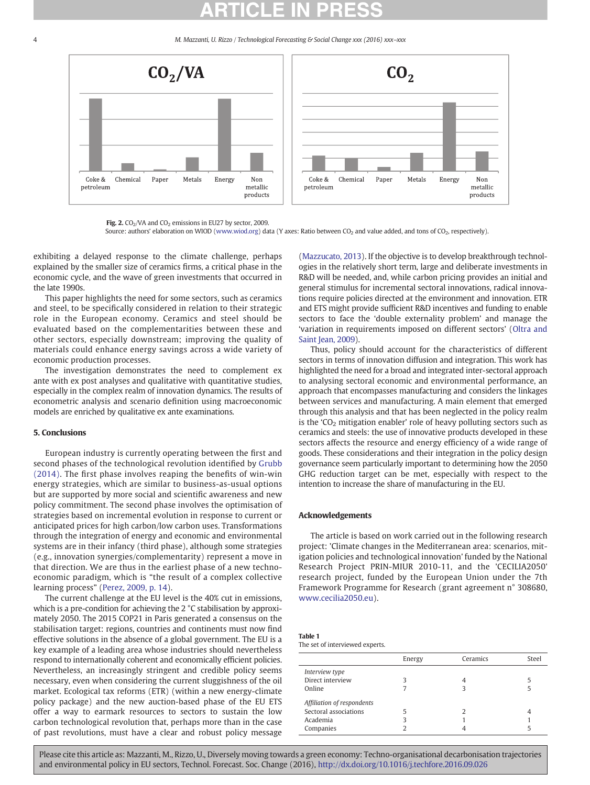M. Mazzanti, U. Rizzo / Technological Forecasting & Social Change xxx (2016) xxx-xxx

<span id="page-3-0"></span>

Fig. 2.  $CO<sub>2</sub>/VA$  and  $CO<sub>2</sub>$  emissions in EU27 by sector, 2009. Source: authors' elaboration on WIOD [\(www.wiod.org\)](http://www.wiod.org) data (Y axes: Ratio between CO<sub>2</sub> and value added, and tons of CO<sub>2</sub>, respectively).

exhibiting a delayed response to the climate challenge, perhaps explained by the smaller size of ceramics firms, a critical phase in the economic cycle, and the wave of green investments that occurred in the late 1990s.

This paper highlights the need for some sectors, such as ceramics and steel, to be specifically considered in relation to their strategic role in the European economy. Ceramics and steel should be evaluated based on the complementarities between these and other sectors, especially downstream; improving the quality of materials could enhance energy savings across a wide variety of economic production processes.

The investigation demonstrates the need to complement ex ante with ex post analyses and qualitative with quantitative studies, especially in the complex realm of innovation dynamics. The results of econometric analysis and scenario definition using macroeconomic models are enriched by qualitative ex ante examinations.

### 5. Conclusions

European industry is currently operating between the first and second phases of the technological revolution identified by [Grubb](#page-4-0) [\(2014\)](#page-4-0). The first phase involves reaping the benefits of win-win energy strategies, which are similar to business-as-usual options but are supported by more social and scientific awareness and new policy commitment. The second phase involves the optimisation of strategies based on incremental evolution in response to current or anticipated prices for high carbon/low carbon uses. Transformations through the integration of energy and economic and environmental systems are in their infancy (third phase), although some strategies (e.g., innovation synergies/complementarity) represent a move in that direction. We are thus in the earliest phase of a new technoeconomic paradigm, which is "the result of a complex collective learning process" ([Perez, 2009, p. 14\)](#page-5-0).

The current challenge at the EU level is the 40% cut in emissions, which is a pre-condition for achieving the 2 °C stabilisation by approximately 2050. The 2015 COP21 in Paris generated a consensus on the stabilisation target: regions, countries and continents must now find effective solutions in the absence of a global government. The EU is a key example of a leading area whose industries should nevertheless respond to internationally coherent and economically efficient policies. Nevertheless, an increasingly stringent and credible policy seems necessary, even when considering the current sluggishness of the oil market. Ecological tax reforms (ETR) (within a new energy-climate policy package) and the new auction-based phase of the EU ETS offer a way to earmark resources to sectors to sustain the low carbon technological revolution that, perhaps more than in the case of past revolutions, must have a clear and robust policy message

[\(Mazzucato, 2013\)](#page-5-0). If the objective is to develop breakthrough technologies in the relatively short term, large and deliberate investments in R&D will be needed, and, while carbon pricing provides an initial and general stimulus for incremental sectoral innovations, radical innovations require policies directed at the environment and innovation. ETR and ETS might provide sufficient R&D incentives and funding to enable sectors to face the 'double externality problem' and manage the 'variation in requirements imposed on different sectors' ([Oltra and](#page-5-0) [Saint Jean, 2009](#page-5-0)).

Thus, policy should account for the characteristics of different sectors in terms of innovation diffusion and integration. This work has highlighted the need for a broad and integrated inter-sectoral approach to analysing sectoral economic and environmental performance, an approach that encompasses manufacturing and considers the linkages between services and manufacturing. A main element that emerged through this analysis and that has been neglected in the policy realm is the ' $CO<sub>2</sub>$  mitigation enabler' role of heavy polluting sectors such as ceramics and steels: the use of innovative products developed in these sectors affects the resource and energy efficiency of a wide range of goods. These considerations and their integration in the policy design governance seem particularly important to determining how the 2050 GHG reduction target can be met, especially with respect to the intention to increase the share of manufacturing in the EU.

### Acknowledgements

The article is based on work carried out in the following research project: 'Climate changes in the Mediterranean area: scenarios, mitigation policies and technological innovation' funded by the National Research Project PRIN-MIUR 2010-11, and the 'CECILIA2050' research project, funded by the European Union under the 7th Framework Programme for Research (grant agreement n° 308680, [www.cecilia2050.eu](http://www.cecilia2050.eu)).

| <b>Table 1</b>                  |
|---------------------------------|
| The set of interviewed experts. |

|                            | Energy | Ceramics | Steel |
|----------------------------|--------|----------|-------|
| Interview type             |        |          |       |
| Direct interview           |        |          |       |
| Online                     |        |          |       |
| Affiliation of respondents |        |          |       |
| Sectoral associations      |        | 7        | 4     |
| Academia                   |        |          |       |
| Companies                  |        |          |       |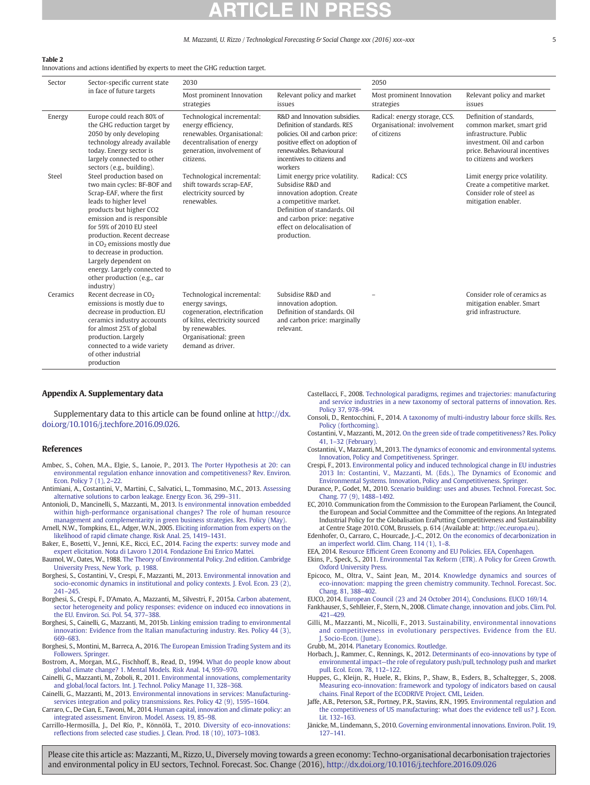#### M. Mazzanti, U. Rizzo / Technological Forecasting & Social Change xxx (2016) xxx-xxx

#### <span id="page-4-0"></span>Table 2

Innovations and actions identified by experts to meet the GHG reduction target.

| Sector<br>Sector-specific current state |                                                                                                                                                                                                                                                                                                                                                                                                                   | 2030                                                                                                                                                                            |                                                                                                                                                                                                                         | 2050                                                                        |                                                                                                                                                                           |
|-----------------------------------------|-------------------------------------------------------------------------------------------------------------------------------------------------------------------------------------------------------------------------------------------------------------------------------------------------------------------------------------------------------------------------------------------------------------------|---------------------------------------------------------------------------------------------------------------------------------------------------------------------------------|-------------------------------------------------------------------------------------------------------------------------------------------------------------------------------------------------------------------------|-----------------------------------------------------------------------------|---------------------------------------------------------------------------------------------------------------------------------------------------------------------------|
| in face of future targets               | Most prominent Innovation<br>strategies                                                                                                                                                                                                                                                                                                                                                                           | Relevant policy and market<br>issues                                                                                                                                            | Most prominent Innovation<br>strategies                                                                                                                                                                                 | Relevant policy and market<br>issues                                        |                                                                                                                                                                           |
| Energy                                  | Europe could reach 80% of<br>the GHG reduction target by<br>2050 by only developing<br>technology already available<br>today. Energy sector is<br>largely connected to other<br>sectors (e.g., building).                                                                                                                                                                                                         | Technological incremental:<br>energy efficiency,<br>renewables. Organisational:<br>decentralisation of energy<br>generation, involvement of<br>citizens.                        | R&D and Innovation subsidies.<br>Definition of standards, RES<br>policies. Oil and carbon price:<br>positive effect on adoption of<br>renewables. Behavioural<br>incentives to citizens and<br>workers                  | Radical: energy storage, CCS.<br>Organisational: involvement<br>of citizens | Definition of standards.<br>common market, smart grid<br>infrastructure, Public<br>investment. Oil and carbon<br>price. Behavioural incentives<br>to citizens and workers |
| Steel                                   | Steel production based on<br>two main cycles: BF-BOF and<br>Scrap-EAF, where the first<br>leads to higher level<br>products but higher CO2<br>emission and is responsible<br>for 59% of 2010 EU steel<br>production. Recent decrease<br>in CO <sub>2</sub> emissions mostly due<br>to decrease in production.<br>Largely dependent on<br>energy. Largely connected to<br>other production (e.g., car<br>industry) | Technological incremental:<br>shift towards scrap-EAF,<br>electricity sourced by<br>renewables.                                                                                 | Limit energy price volatility.<br>Subsidise R&D and<br>innovation adoption. Create<br>a competitive market.<br>Definition of standards, Oil<br>and carbon price; negative<br>effect on delocalisation of<br>production. | Radical: CCS                                                                | Limit energy price volatility.<br>Create a competitive market.<br>Consider role of steel as<br>mitigation enabler.                                                        |
| Ceramics                                | Recent decrease in CO <sub>2</sub><br>emissions is mostly due to<br>decrease in production. EU<br>ceramics industry accounts<br>for almost 25% of global<br>production. Largely<br>connected to a wide variety<br>of other industrial<br>production                                                                                                                                                               | Technological incremental:<br>energy savings,<br>cogeneration, electrification<br>of kilns, electricity sourced<br>by renewables.<br>Organisational: green<br>demand as driver. | Subsidise R&D and<br>innovation adoption.<br>Definition of standards. Oil<br>and carbon price: marginally<br>relevant.                                                                                                  |                                                                             | Consider role of ceramics as<br>mitigation enabler. Smart<br>grid infrastructure.                                                                                         |

#### Appendix A. Supplementary data

Supplementary data to this article can be found online at [http://dx.](doi:10.1016/j.techfore.2016.09.026) [doi.org/10.1016/j.techfore.2016.09.026.](doi:10.1016/j.techfore.2016.09.026)

### References

- Ambec, S., Cohen, M.A., Elgie, S., Lanoie, P., 2013. [The Porter Hypothesis at 20: can](http://refhub.elsevier.com/S0040-1625(16)30355-9/rf0005) [environmental regulation enhance innovation and competitiveness? Rev. Environ.](http://refhub.elsevier.com/S0040-1625(16)30355-9/rf0005) [Econ. Policy 7 \(1\), 2](http://refhub.elsevier.com/S0040-1625(16)30355-9/rf0005)–22.
- Antimiani, A., Costantini, V., Martini, C., Salvatici, L., Tommasino, M.C., 2013. [Assessing](http://refhub.elsevier.com/S0040-1625(16)30355-9/rf0010) [alternative solutions to carbon leakage. Energy Econ. 36, 299](http://refhub.elsevier.com/S0040-1625(16)30355-9/rf0010)–311.
- Antonioli, D., Mancinelli, S., Mazzanti, M., 2013. [Is environmental innovation embedded](http://refhub.elsevier.com/S0040-1625(16)30355-9/rf0015) [within high-performance organisational changes? The role of human resource](http://refhub.elsevier.com/S0040-1625(16)30355-9/rf0015) [management and complementarity in green business strategies. Res. Policy \(May\)](http://refhub.elsevier.com/S0040-1625(16)30355-9/rf0015).
- Arnell, N.W., Tompkins, E.L., Adger, W.N., 2005. [Eliciting information from experts on the](http://refhub.elsevier.com/S0040-1625(16)30355-9/rf0020) [likelihood of rapid climate change. Risk Anal. 25, 1419](http://refhub.elsevier.com/S0040-1625(16)30355-9/rf0020)–1431.
- Baker, E., Bosetti, V., Jenni, K.E., Ricci, E.C., 2014. [Facing the experts: survey mode and](http://refhub.elsevier.com/S0040-1625(16)30355-9/rf0025) [expert elicitation. Nota di Lavoro 1.2014. Fondazione Eni Enrico Mattei](http://refhub.elsevier.com/S0040-1625(16)30355-9/rf0025).
- Baumol, W., Oates, W., 1988. [The Theory of Environmental Policy. 2nd edition. Cambridge](http://refhub.elsevier.com/S0040-1625(16)30355-9/rf0030) [University Press, New York, p. 1988.](http://refhub.elsevier.com/S0040-1625(16)30355-9/rf0030)
- Borghesi, S., Costantini, V., Crespi, F., Mazzanti, M., 2013. [Environmental innovation and](http://refhub.elsevier.com/S0040-1625(16)30355-9/rf0035) [socio-economic dynamics in institutional and policy contexts. J. Evol. Econ. 23 \(2\),](http://refhub.elsevier.com/S0040-1625(16)30355-9/rf0035) [241](http://refhub.elsevier.com/S0040-1625(16)30355-9/rf0035)–245.
- Borghesi, S., Crespi, F., D'Amato, A., Mazzanti, M., Silvestri, F., 2015a. [Carbon abatement,](http://refhub.elsevier.com/S0040-1625(16)30355-9/rf0040) [sector heterogeneity and policy responses: evidence on induced eco innovations in](http://refhub.elsevier.com/S0040-1625(16)30355-9/rf0040) [the EU. Environ. Sci. Pol. 54, 377](http://refhub.elsevier.com/S0040-1625(16)30355-9/rf0040)–388.
- Borghesi, S., Cainelli, G., Mazzanti, M., 2015b. [Linking emission trading to environmental](http://refhub.elsevier.com/S0040-1625(16)30355-9/rf0045) [innovation: Evidence from the Italian manufacturing industry. Res. Policy 44 \(3\),](http://refhub.elsevier.com/S0040-1625(16)30355-9/rf0045) [669](http://refhub.elsevier.com/S0040-1625(16)30355-9/rf0045)–683.
- Borghesi, S., Montini, M., Barreca, A., 2016. [The European Emission Trading System and its](http://refhub.elsevier.com/S0040-1625(16)30355-9/rf0050) [Followers. Springer](http://refhub.elsevier.com/S0040-1625(16)30355-9/rf0050).
- Bostrom, A., Morgan, M.G., Fischhoff, B., Read, D., 1994. [What do people know about](http://refhub.elsevier.com/S0040-1625(16)30355-9/rf0055) [global climate change? 1. Mental Models. Risk Anal. 14, 959](http://refhub.elsevier.com/S0040-1625(16)30355-9/rf0055)–970.
- Cainelli, G., Mazzanti, M., Zoboli, R., 2011. [Environmental innovations, complementarity](http://refhub.elsevier.com/S0040-1625(16)30355-9/rf9005) [and global/local factors. Int. J. Technol. Policy Manage 11, 328](http://refhub.elsevier.com/S0040-1625(16)30355-9/rf9005)–368.
- Cainelli, G., Mazzanti, M., 2013. [Environmental innovations in services: Manufacturing](http://refhub.elsevier.com/S0040-1625(16)30355-9/rf0060)[services integration and policy transmissions. Res. Policy 42 \(9\), 1595](http://refhub.elsevier.com/S0040-1625(16)30355-9/rf0060)–1604.
- Carraro, C., De Cian, E., Tavoni, M., 2014. [Human capital, innovation and climate policy: an](http://refhub.elsevier.com/S0040-1625(16)30355-9/rf0065) [integrated assessment. Environ. Model. Assess. 19, 85](http://refhub.elsevier.com/S0040-1625(16)30355-9/rf0065)–98.
- Carrillo-Hermosilla, J., Del Río, P., Könnölä, T., 2010. [Diversity of eco-innovations:](http://refhub.elsevier.com/S0040-1625(16)30355-9/rf0070) refl[ections from selected case studies. J. Clean. Prod. 18 \(10\), 1073](http://refhub.elsevier.com/S0040-1625(16)30355-9/rf0070)–1083.
- Castellacci, F., 2008. [Technological paradigms, regimes and trajectories: manufacturing](http://refhub.elsevier.com/S0040-1625(16)30355-9/rf0075) [and service industries in a new taxonomy of sectoral patterns of innovation. Res.](http://refhub.elsevier.com/S0040-1625(16)30355-9/rf0075) [Policy 37, 978](http://refhub.elsevier.com/S0040-1625(16)30355-9/rf0075)–994.
- Consoli, D., Rentocchini, F., 2014. [A taxonomy of multi-industry labour force skills. Res.](http://refhub.elsevier.com/S0040-1625(16)30355-9/rf0080) [Policy \(forthcoming\)](http://refhub.elsevier.com/S0040-1625(16)30355-9/rf0080).
- Costantini, V., Mazzanti, M., 2012. [On the green side of trade competitiveness? Res. Policy](http://refhub.elsevier.com/S0040-1625(16)30355-9/rf0085) 41, 1–[32 \(February\).](http://refhub.elsevier.com/S0040-1625(16)30355-9/rf0085)
- Costantini, V., Mazzanti, M., 2013. [The dynamics of economic and environmental systems.](http://refhub.elsevier.com/S0040-1625(16)30355-9/rf0090) [Innovation, Policy and Competitiveness. Springer](http://refhub.elsevier.com/S0040-1625(16)30355-9/rf0090).
- Crespi, F., 2013. [Environmental policy and induced technological change in EU industries](http://refhub.elsevier.com/S0040-1625(16)30355-9/rf0095) [2013 In: Costantini, V., Mazzanti, M. \(Eds.\), The Dynamics of Economic and](http://refhub.elsevier.com/S0040-1625(16)30355-9/rf0095) [Environmental Systems. Innovation, Policy and Competitiveness. Springer.](http://refhub.elsevier.com/S0040-1625(16)30355-9/rf0095)
- Durance, P., Godet, M., 2010. [Scenario building: uses and abuses. Technol. Forecast. Soc.](http://refhub.elsevier.com/S0040-1625(16)30355-9/rf0105) [Chang. 77 \(9\), 1488](http://refhub.elsevier.com/S0040-1625(16)30355-9/rf0105)–1492.
- EC, 2010. Communication from the Commission to the European Parliament, the Council, the European and Social Committee and the Committee of the regions. An Integrated Industrial Policy for the Globalisation EraPutting Competitiveness and Sustainability at Centre Stage 2010. COM, Brussels, p. 614 (Available at: <http://ec.europa.eu>).
- Edenhofer, O., Carraro, C., Hourcade, J.-C., 2012. [On the economics of decarbonization in](http://refhub.elsevier.com/S0040-1625(16)30355-9/rf0115) [an imperfect world. Clim. Chang. 114 \(1\), 1](http://refhub.elsevier.com/S0040-1625(16)30355-9/rf0115)–8.
- EEA, 2014. Resource Effi[cient Green Economy and EU Policies. EEA, Copenhagen](http://refhub.elsevier.com/S0040-1625(16)30355-9/rf0120).
- Ekins, P., Speck, S., 2011. [Environmental Tax Reform \(ETR\). A Policy for Green Growth.](http://refhub.elsevier.com/S0040-1625(16)30355-9/rf0125) [Oxford University Press](http://refhub.elsevier.com/S0040-1625(16)30355-9/rf0125).
- Epicoco, M., Oltra, V., Saint Jean, M., 2014. [Knowledge dynamics and sources of](http://refhub.elsevier.com/S0040-1625(16)30355-9/rf0130) [eco-innovation: mapping the green chemistry community. Technol. Forecast. Soc.](http://refhub.elsevier.com/S0040-1625(16)30355-9/rf0130) [Chang. 81, 388](http://refhub.elsevier.com/S0040-1625(16)30355-9/rf0130)–402.
- EUCO, 2014. [European Council \(23 and 24 October 2014\), Conclusions. EUCO 169/14.](http://refhub.elsevier.com/S0040-1625(16)30355-9/rf0135)
- Fankhauser, S., Sehlleier, F., Stern, N., 2008. [Climate change, innovation and jobs. Clim. Pol.](http://refhub.elsevier.com/S0040-1625(16)30355-9/rf0140) [421](http://refhub.elsevier.com/S0040-1625(16)30355-9/rf0140)–429.
- Gilli, M., Mazzanti, M., Nicolli, F., 2013. [Sustainability, environmental innovations](http://refhub.elsevier.com/S0040-1625(16)30355-9/rf0145) [and competitiveness in evolutionary](http://refhub.elsevier.com/S0040-1625(16)30355-9/rf0145) perspectives. Evidence from the EU. [J. Socio-Econ. \(June\).](http://refhub.elsevier.com/S0040-1625(16)30355-9/rf0145)
- Grubb, M., 2014. [Planetary Economics. Routledge.](http://refhub.elsevier.com/S0040-1625(16)30355-9/rf0150)
- Horbach, J., Rammer, C., Rennings, K., 2012. [Determinants of eco-innovations by type of](http://refhub.elsevier.com/S0040-1625(16)30355-9/rf0155) environmental impact—[the role of regulatory push/pull, technology push and market](http://refhub.elsevier.com/S0040-1625(16)30355-9/rf0155) [pull. Ecol. Econ. 78, 112](http://refhub.elsevier.com/S0040-1625(16)30355-9/rf0155)–122.
- Huppes, G., Kleijn, R., Huele, R., Ekins, P., Shaw, B., Esders, B., Schaltegger, S., 2008. [Measuring eco-innovation: framework and typology of indicators based on causal](http://refhub.elsevier.com/S0040-1625(16)30355-9/rf0160) [chains. Final Report of the ECODRIVE Project. CML, Leiden](http://refhub.elsevier.com/S0040-1625(16)30355-9/rf0160).
- Jaffe, A.B., Peterson, S.R., Portney, P.R., Stavins, R.N., 1995. [Environmental regulation and](http://refhub.elsevier.com/S0040-1625(16)30355-9/rf0165) [the competitiveness of US manufacturing: what does the evidence tell us? J. Econ.](http://refhub.elsevier.com/S0040-1625(16)30355-9/rf0165) [Lit. 132](http://refhub.elsevier.com/S0040-1625(16)30355-9/rf0165)–163.
- Jänicke, M., Lindemann, S., 2010. [Governing environmental innovations. Environ. Polit. 19,](http://refhub.elsevier.com/S0040-1625(16)30355-9/rf0170) [127](http://refhub.elsevier.com/S0040-1625(16)30355-9/rf0170)–141.